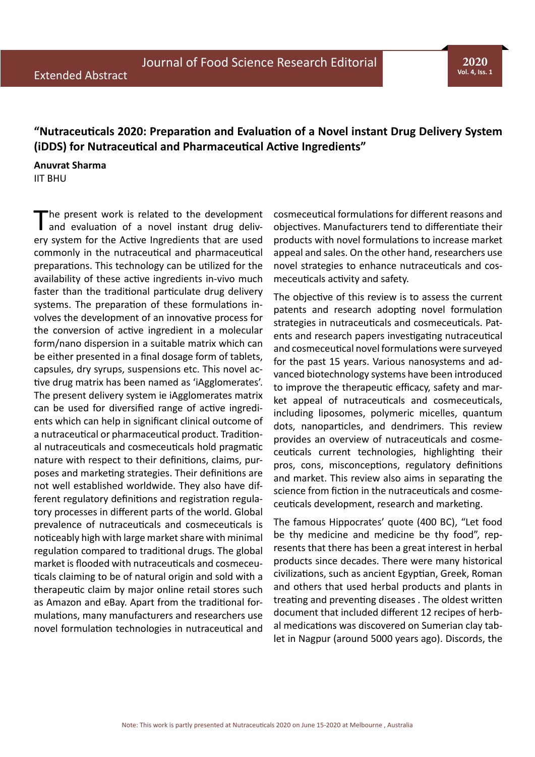## **"Nutraceuticals 2020: Preparation and Evaluation of a Novel instant Drug Delivery System (iDDS) for Nutraceutical and Pharmaceutical Active Ingredients"**

## **Anuvrat Sharma**

IIT BHU

The present work is related to the development and evaluation of a novel instant drug delivery system for the Active Ingredients that are used commonly in the nutraceutical and pharmaceutical preparations. This technology can be utilized for the availability of these active ingredients in-vivo much faster than the traditional particulate drug delivery systems. The preparation of these formulations involves the development of an innovative process for the conversion of active ingredient in a molecular form/nano dispersion in a suitable matrix which can be either presented in a final dosage form of tablets, capsules, dry syrups, suspensions etc. This novel active drug matrix has been named as 'iAgglomerates'. The present delivery system ie iAgglomerates matrix can be used for diversified range of active ingredients which can help in significant clinical outcome of a nutraceutical or pharmaceutical product. Traditional nutraceuticals and cosmeceuticals hold pragmatic nature with respect to their definitions, claims, purposes and marketing strategies. Their definitions are not well established worldwide. They also have different regulatory definitions and registration regulatory processes in different parts of the world. Global prevalence of nutraceuticals and cosmeceuticals is noticeably high with large market share with minimal regulation compared to traditional drugs. The global market is flooded with nutraceuticals and cosmeceuticals claiming to be of natural origin and sold with a therapeutic claim by major online retail stores such as Amazon and eBay. Apart from the traditional formulations, many manufacturers and researchers use novel formulation technologies in nutraceutical and

cosmeceutical formulations for different reasons and objectives. Manufacturers tend to differentiate their products with novel formulations to increase market appeal and sales. On the other hand, researchers use novel strategies to enhance nutraceuticals and cosmeceuticals activity and safety.

The objective of this review is to assess the current patents and research adopting novel formulation strategies in nutraceuticals and cosmeceuticals. Patents and research papers investigating nutraceutical and cosmeceutical novel formulations were surveyed for the past 15 years. Various nanosystems and advanced biotechnology systems have been introduced to improve the therapeutic efficacy, safety and market appeal of nutraceuticals and cosmeceuticals, including liposomes, polymeric micelles, quantum dots, nanoparticles, and dendrimers. This review provides an overview of nutraceuticals and cosmeceuticals current technologies, highlighting their pros, cons, misconceptions, regulatory definitions and market. This review also aims in separating the science from fiction in the nutraceuticals and cosmeceuticals development, research and marketing.

The famous Hippocrates' quote (400 BC), "Let food be thy medicine and medicine be thy food", represents that there has been a great interest in herbal products since decades. There were many historical civilizations, such as ancient Egyptian, Greek, Roman and others that used herbal products and plants in treating and preventing diseases . The oldest written document that included different 12 recipes of herbal medications was discovered on Sumerian clay tablet in Nagpur (around 5000 years ago). Discords, the